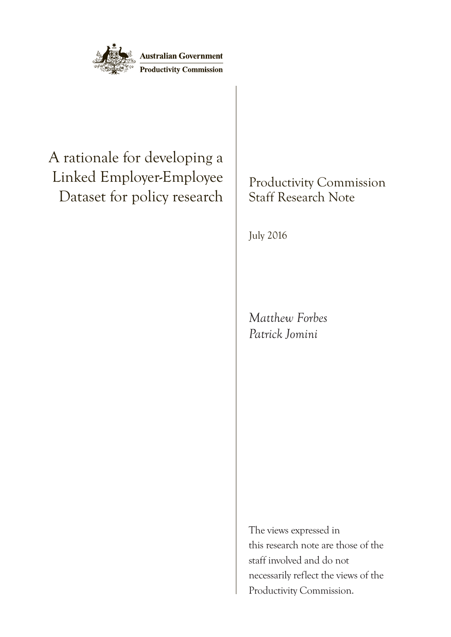

# A rationale for developing a Linked Employer-Employee Dataset for policy research

Productivity Commission Staff Research Note

July 2016

*Matthew Forbes Patrick Jomini*

The views expressed in this research note are those of the staff involved and do not necessarily reflect the views of the Productivity Commission.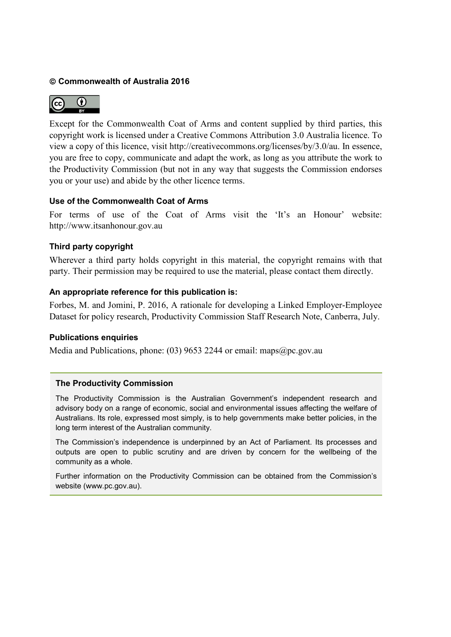#### **Commonwealth of Australia 2016**



Except for the Commonwealth Coat of Arms and content supplied by third parties, this copyright work is licensed under a Creative Commons Attribution 3.0 Australia licence. To view a copy of this licence, visit [http://creativecommons.org/licenses/by/3.0/au.](http://creativecommons.org/licenses/by/3.0/au) In essence, you are free to copy, communicate and adapt the work, as long as you attribute the work to the Productivity Commission (but not in any way that suggests the Commission endorses you or your use) and abide by the other licence terms.

#### **Use of the Commonwealth Coat of Arms**

For terms of use of the Coat of Arms visit the ['It's an Honour'](http://www.itsanhonour.gov.au/coat-arms/index.cfm) website: [http://www.itsanhonour.gov.au](http://www.itsanhonour.gov.au/)

#### **Third party copyright**

Wherever a third party holds copyright in this material, the copyright remains with that party. Their permission may be required to use the material, please contact them directly.

#### **An appropriate reference for this publication is:**

Forbes, M. and Jomini, P. 2016, A rationale for developing a Linked Employer-Employee Dataset for policy research, Productivity Commission Staff Research Note, Canberra, July.

#### **Publications enquiries**

Media and Publications, phone: (03) 9653 2244 or email: maps@pc.gov.au

#### **The Productivity Commission**

The Productivity Commission is the Australian Government's independent research and advisory body on a range of economic, social and environmental issues affecting the welfare of Australians. Its role, expressed most simply, is to help governments make better policies, in the long term interest of the Australian community.

The Commission's independence is underpinned by an Act of Parliament. Its processes and outputs are open to public scrutiny and are driven by concern for the wellbeing of the community as a whole.

Further information on the Productivity Commission can be obtained from the Commission's website [\(www.pc.gov.au\)](http://www.pc.gov.au/).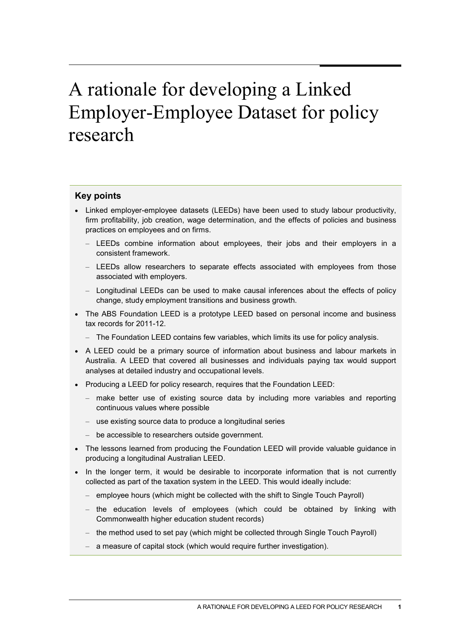# A rationale for developing a Linked Employer-Employee Dataset for policy research

#### **Key points**

- Linked employer-employee datasets (LEEDs) have been used to study labour productivity, firm profitability, job creation, wage determination, and the effects of policies and business practices on employees and on firms.
	- LEEDs combine information about employees, their jobs and their employers in a consistent framework.
	- LEEDs allow researchers to separate effects associated with employees from those associated with employers.
	- Longitudinal LEEDs can be used to make causal inferences about the effects of policy change, study employment transitions and business growth.
- The ABS Foundation LEED is a prototype LEED based on personal income and business tax records for 2011-12.
	- The Foundation LEED contains few variables, which limits its use for policy analysis.
- A LEED could be a primary source of information about business and labour markets in Australia. A LEED that covered all businesses and individuals paying tax would support analyses at detailed industry and occupational levels.
- Producing a LEED for policy research, requires that the Foundation LEED:
	- make better use of existing source data by including more variables and reporting continuous values where possible
	- use existing source data to produce a longitudinal series
	- be accessible to researchers outside government.
- The lessons learned from producing the Foundation LEED will provide valuable guidance in producing a longitudinal Australian LEED.
- In the longer term, it would be desirable to incorporate information that is not currently collected as part of the taxation system in the LEED. This would ideally include:
	- employee hours (which might be collected with the shift to Single Touch Payroll)
	- the education levels of employees (which could be obtained by linking with Commonwealth higher education student records)
	- the method used to set pay (which might be collected through Single Touch Payroll)
	- a measure of capital stock (which would require further investigation).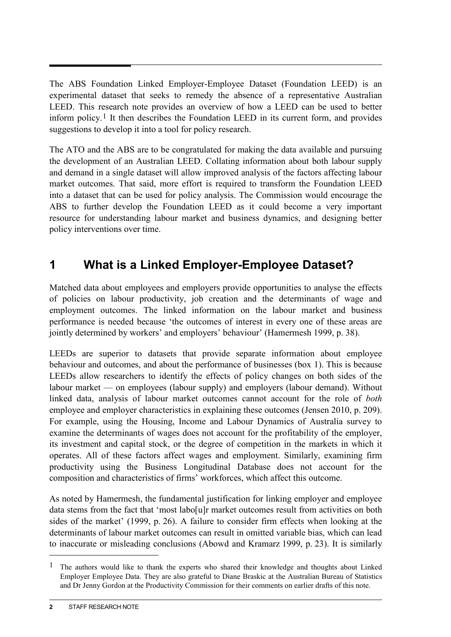The ABS Foundation Linked Employer-Employee Dataset (Foundation LEED) is an experimental dataset that seeks to remedy the absence of a representative Australian LEED. This research note provides an overview of how a LEED can be used to better inform policy.<sup>[1](#page-3-0)</sup> It then describes the Foundation LEED in its current form, and provides suggestions to develop it into a tool for policy research.

The ATO and the ABS are to be congratulated for making the data available and pursuing the development of an Australian LEED. Collating information about both labour supply and demand in a single dataset will allow improved analysis of the factors affecting labour market outcomes. That said, more effort is required to transform the Foundation LEED into a dataset that can be used for policy analysis. The Commission would encourage the ABS to further develop the Foundation LEED as it could become a very important resource for understanding labour market and business dynamics, and designing better policy interventions over time.

# **1 What is a Linked Employer-Employee Dataset?**

Matched data about employees and employers provide opportunities to analyse the effects of policies on labour productivity, job creation and the determinants of wage and employment outcomes. The linked information on the labour market and business performance is needed because 'the outcomes of interest in every one of these areas are jointly determined by workers' and employers' behaviour' (Hamermesh 1999, p. 38).

LEEDs are superior to datasets that provide separate information about employee behaviour and outcomes, and about the performance of businesses (box 1). This is because LEEDs allow researchers to identify the effects of policy changes on both sides of the labour market — on employees (labour supply) and employers (labour demand). Without linked data, analysis of labour market outcomes cannot account for the role of *both* employee and employer characteristics in explaining these outcomes (Jensen 2010, p. 209). For example, using the Housing, Income and Labour Dynamics of Australia survey to examine the determinants of wages does not account for the profitability of the employer, its investment and capital stock, or the degree of competition in the markets in which it operates. All of these factors affect wages and employment. Similarly, examining firm productivity using the Business Longitudinal Database does not account for the composition and characteristics of firms' workforces, which affect this outcome.

As noted by Hamermesh, the fundamental justification for linking employer and employee data stems from the fact that 'most labo[u]r market outcomes result from activities on both sides of the market' (1999, p. 26). A failure to consider firm effects when looking at the determinants of labour market outcomes can result in omitted variable bias, which can lead to inaccurate or misleading conclusions (Abowd and Kramarz 1999, p. 23). It is similarly

 $\overline{a}$ 

<span id="page-3-0"></span><sup>1</sup> The authors would like to thank the experts who shared their knowledge and thoughts about Linked Employer Employee Data. They are also grateful to Diane Braskic at the Australian Bureau of Statistics and Dr Jenny Gordon at the Productivity Commission for their comments on earlier drafts of this note.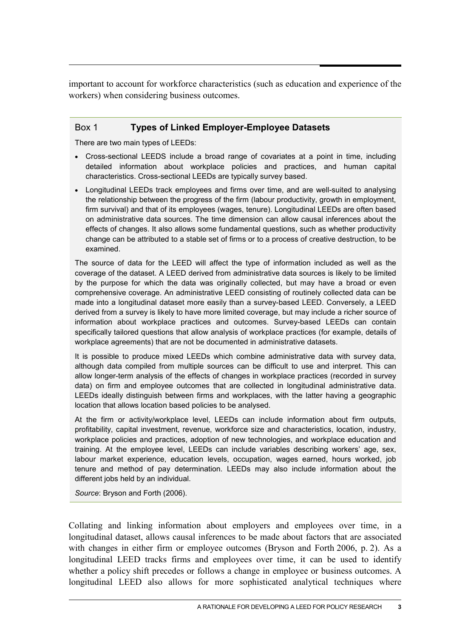important to account for workforce characteristics (such as education and experience of the workers) when considering business outcomes.

#### Box 1 **Types of Linked Employer-Employee Datasets**

There are two main types of LEEDs:

- Cross-sectional LEEDS include a broad range of covariates at a point in time, including detailed information about workplace policies and practices, and human capital characteristics. Cross-sectional LEEDs are typically survey based.
- Longitudinal LEEDs track employees and firms over time, and are well-suited to analysing the relationship between the progress of the firm (labour productivity, growth in employment, firm survival) and that of its employees (wages, tenure). Longitudinal LEEDs are often based on administrative data sources. The time dimension can allow causal inferences about the effects of changes. It also allows some fundamental questions, such as whether productivity change can be attributed to a stable set of firms or to a process of creative destruction, to be examined.

The source of data for the LEED will affect the type of information included as well as the coverage of the dataset. A LEED derived from administrative data sources is likely to be limited by the purpose for which the data was originally collected, but may have a broad or even comprehensive coverage. An administrative LEED consisting of routinely collected data can be made into a longitudinal dataset more easily than a survey-based LEED. Conversely, a LEED derived from a survey is likely to have more limited coverage, but may include a richer source of information about workplace practices and outcomes. Survey-based LEEDs can contain specifically tailored questions that allow analysis of workplace practices (for example, details of workplace agreements) that are not be documented in administrative datasets.

It is possible to produce mixed LEEDs which combine administrative data with survey data, although data compiled from multiple sources can be difficult to use and interpret. This can allow longer-term analysis of the effects of changes in workplace practices (recorded in survey data) on firm and employee outcomes that are collected in longitudinal administrative data. LEEDs ideally distinguish between firms and workplaces, with the latter having a geographic location that allows location based policies to be analysed.

At the firm or activity/workplace level, LEEDs can include information about firm outputs, profitability, capital investment, revenue, workforce size and characteristics, location, industry, workplace policies and practices, adoption of new technologies, and workplace education and training. At the employee level, LEEDs can include variables describing workers' age, sex, labour market experience, education levels, occupation, wages earned, hours worked, job tenure and method of pay determination. LEEDs may also include information about the different jobs held by an individual.

*Source*: Bryson and Forth (2006).

Collating and linking information about employers and employees over time, in a longitudinal dataset, allows causal inferences to be made about factors that are associated with changes in either firm or employee outcomes (Bryson and Forth 2006, p. 2). As a longitudinal LEED tracks firms and employees over time, it can be used to identify whether a policy shift precedes or follows a change in employee or business outcomes. A longitudinal LEED also allows for more sophisticated analytical techniques where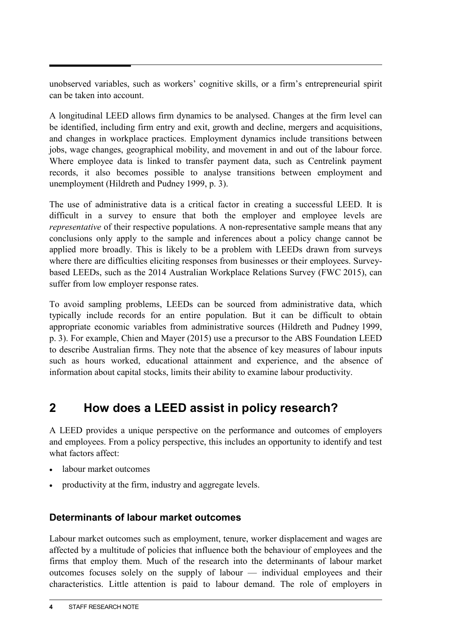unobserved variables, such as workers' cognitive skills, or a firm's entrepreneurial spirit can be taken into account.

A longitudinal LEED allows firm dynamics to be analysed. Changes at the firm level can be identified, including firm entry and exit, growth and decline, mergers and acquisitions, and changes in workplace practices. Employment dynamics include transitions between jobs, wage changes, geographical mobility, and movement in and out of the labour force. Where employee data is linked to transfer payment data, such as Centrelink payment records, it also becomes possible to analyse transitions between employment and unemployment (Hildreth and Pudney 1999, p. 3).

The use of administrative data is a critical factor in creating a successful LEED. It is difficult in a survey to ensure that both the employer and employee levels are *representative* of their respective populations. A non-representative sample means that any conclusions only apply to the sample and inferences about a policy change cannot be applied more broadly. This is likely to be a problem with LEEDs drawn from surveys where there are difficulties eliciting responses from businesses or their employees. Surveybased LEEDs, such as the 2014 Australian Workplace Relations Survey (FWC 2015), can suffer from low employer response rates.

To avoid sampling problems, LEEDs can be sourced from administrative data, which typically include records for an entire population. But it can be difficult to obtain appropriate economic variables from administrative sources (Hildreth and Pudney 1999, p. 3). For example, Chien and Mayer (2015) use a precursor to the ABS Foundation LEED to describe Australian firms. They note that the absence of key measures of labour inputs such as hours worked, educational attainment and experience, and the absence of information about capital stocks, limits their ability to examine labour productivity.

# **2 How does a LEED assist in policy research?**

A LEED provides a unique perspective on the performance and outcomes of employers and employees. From a policy perspective, this includes an opportunity to identify and test what factors affect:

- labour market outcomes
- productivity at the firm, industry and aggregate levels.

## **Determinants of labour market outcomes**

Labour market outcomes such as employment, tenure, worker displacement and wages are affected by a multitude of policies that influence both the behaviour of employees and the firms that employ them. Much of the research into the determinants of labour market outcomes focuses solely on the supply of labour — individual employees and their characteristics. Little attention is paid to labour demand. The role of employers in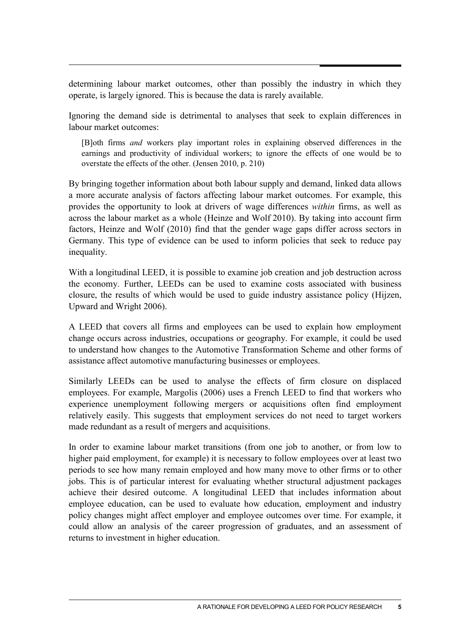determining labour market outcomes, other than possibly the industry in which they operate, is largely ignored. This is because the data is rarely available.

Ignoring the demand side is detrimental to analyses that seek to explain differences in labour market outcomes:

[B]oth firms *and* workers play important roles in explaining observed differences in the earnings and productivity of individual workers; to ignore the effects of one would be to overstate the effects of the other. (Jensen 2010, p. 210)

By bringing together information about both labour supply and demand, linked data allows a more accurate analysis of factors affecting labour market outcomes. For example, this provides the opportunity to look at drivers of wage differences *within* firms, as well as across the labour market as a whole (Heinze and Wolf 2010). By taking into account firm factors, Heinze and Wolf (2010) find that the gender wage gaps differ across sectors in Germany. This type of evidence can be used to inform policies that seek to reduce pay inequality.

With a longitudinal LEED, it is possible to examine job creation and job destruction across the economy. Further, LEEDs can be used to examine costs associated with business closure, the results of which would be used to guide industry assistance policy (Hijzen, Upward and Wright 2006).

A LEED that covers all firms and employees can be used to explain how employment change occurs across industries, occupations or geography. For example, it could be used to understand how changes to the Automotive Transformation Scheme and other forms of assistance affect automotive manufacturing businesses or employees.

Similarly LEEDs can be used to analyse the effects of firm closure on displaced employees. For example, Margolis (2006) uses a French LEED to find that workers who experience unemployment following mergers or acquisitions often find employment relatively easily. This suggests that employment services do not need to target workers made redundant as a result of mergers and acquisitions.

In order to examine labour market transitions (from one job to another, or from low to higher paid employment, for example) it is necessary to follow employees over at least two periods to see how many remain employed and how many move to other firms or to other jobs. This is of particular interest for evaluating whether structural adjustment packages achieve their desired outcome. A longitudinal LEED that includes information about employee education, can be used to evaluate how education, employment and industry policy changes might affect employer and employee outcomes over time. For example, it could allow an analysis of the career progression of graduates, and an assessment of returns to investment in higher education.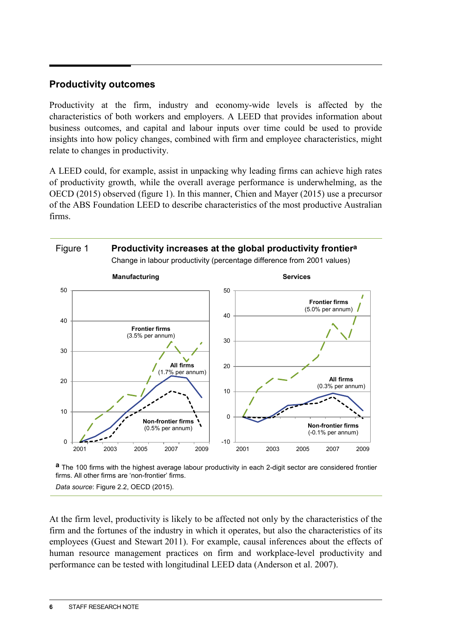### **Productivity outcomes**

Productivity at the firm, industry and economy-wide levels is affected by the characteristics of both workers and employers. A LEED that provides information about business outcomes, and capital and labour inputs over time could be used to provide insights into how policy changes, combined with firm and employee characteristics, might relate to changes in productivity.

A LEED could, for example, assist in unpacking why leading firms can achieve high rates of productivity growth, while the overall average performance is underwhelming, as the OECD (2015) observed (figure 1). In this manner, Chien and Mayer (2015) use a precursor of the ABS Foundation LEED to describe characteristics of the most productive Australian firms.



**a** The 100 firms with the highest average labour productivity in each 2-digit sector are considered frontier firms. All other firms are 'non-frontier' firms.

*Data source*: Figure 2.2, OECD (2015).

At the firm level, productivity is likely to be affected not only by the characteristics of the firm and the fortunes of the industry in which it operates, but also the characteristics of its employees (Guest and Stewart 2011). For example, causal inferences about the effects of human resource management practices on firm and workplace-level productivity and performance can be tested with longitudinal LEED data (Anderson et al. 2007).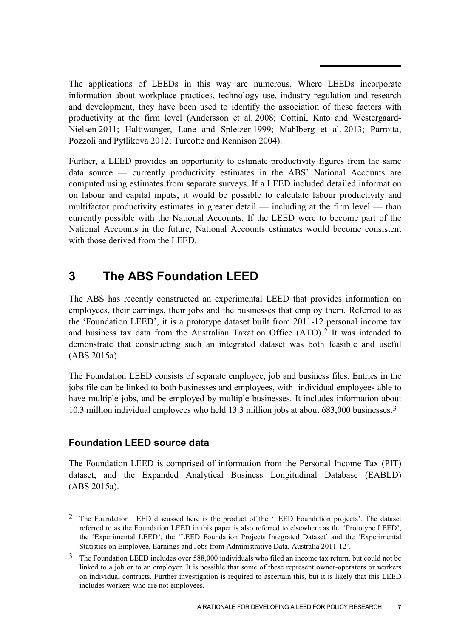The applications of LEEDs in this way are numerous. Where LEEDs incorporate information about workplace practices, technology use, industry regulation and research and development, they have been used to identify the association of these factors with productivity at the firm level (Andersson et al. 2008; Cottini, Kato and Westergaard-Nielsen 2011; Haltiwanger, Lane and Spletzer 1999; Mahlberg et al. 2013; Parrotta, Pozzoli and Pytlikova 2012; Turcotte and Rennison 2004).

Further, a LEED provides an opportunity to estimate productivity figures from the same data source — currently productivity estimates in the ABS' National Accounts are computed using estimates from separate surveys. If a LEED included detailed information on labour and capital inputs, it would be possible to calculate labour productivity and multifactor productivity estimates in greater detail — including at the firm level — than currently possible with the National Accounts. If the LEED were to become part of the National Accounts in the future, National Accounts estimates would become consistent with those derived from the LEED.

# **3 The ABS Foundation LEED**

The ABS has recently constructed an experimental LEED that provides information on employees, their earnings, their jobs and the businesses that employ them. Referred to as the 'Foundation LEED', it is a prototype dataset built from 2011-12 personal income tax and business tax data from the Australian Taxation Office (ATO).[2](#page-8-0) It was intended to demonstrate that constructing such an integrated dataset was both feasible and useful (ABS 2015a).

The Foundation LEED consists of separate employee, job and business files. Entries in the jobs file can be linked to both businesses and employees, with individual employees able to have multiple jobs, and be employed by multiple businesses. It includes information about 10.3 million individual employees who held 13.3 million jobs at about 683,000 businesses.[3](#page-8-1)

# **Foundation LEED source data**

-

The Foundation LEED is comprised of information from the Personal Income Tax (PIT) dataset, and the Expanded Analytical Business Longitudinal Database (EABLD) (ABS 2015a).

<span id="page-8-0"></span><sup>2</sup> The Foundation LEED discussed here is the product of the 'LEED Foundation projects'. The dataset referred to as the Foundation LEED in this paper is also referred to elsewhere as the 'Prototype LEED', the 'Experimental LEED', the 'LEED Foundation Projects Integrated Dataset' and the 'Experimental Statistics on Employee, Earnings and Jobs from Administrative Data, Australia 2011-12'.

<span id="page-8-1"></span><sup>3</sup> The Foundation LEED includes over 588,000 individuals who filed an income tax return, but could not be linked to a job or to an employer. It is possible that some of these represent owner-operators or workers on individual contracts. Further investigation is required to ascertain this, but it is likely that this LEED includes workers who are not employees.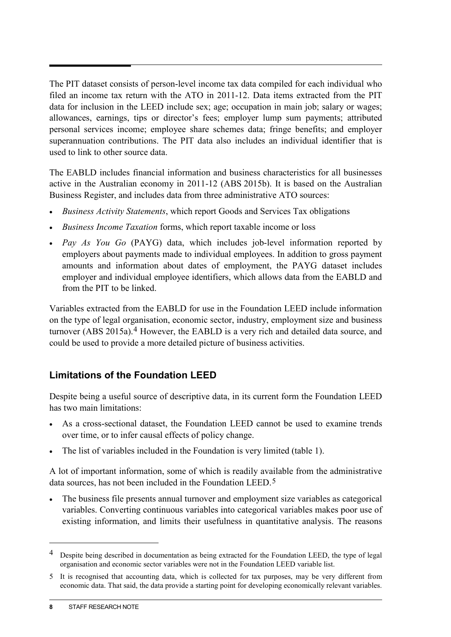The PIT dataset consists of person-level income tax data compiled for each individual who filed an income tax return with the ATO in 2011-12. Data items extracted from the PIT data for inclusion in the LEED include sex; age; occupation in main job; salary or wages; allowances, earnings, tips or director's fees; employer lump sum payments; attributed personal services income; employee share schemes data; fringe benefits; and employer superannuation contributions. The PIT data also includes an individual identifier that is used to link to other source data.

The EABLD includes financial information and business characteristics for all businesses active in the Australian economy in 2011-12 (ABS 2015b). It is based on the Australian Business Register, and includes data from three administrative ATO sources:

- *Business Activity Statements*, which report Goods and Services Tax obligations
- *Business Income Taxation* forms, which report taxable income or loss
- *Pay As You Go* (PAYG) data, which includes job-level information reported by employers about payments made to individual employees. In addition to gross payment amounts and information about dates of employment, the PAYG dataset includes employer and individual employee identifiers, which allows data from the EABLD and from the PIT to be linked.

Variables extracted from the EABLD for use in the Foundation LEED include information on the type of legal organisation, economic sector, industry, employment size and business turnover (ABS 2015a).<sup>[4](#page-9-0)</sup> However, the EABLD is a very rich and detailed data source, and could be used to provide a more detailed picture of business activities.

## **Limitations of the Foundation LEED**

Despite being a useful source of descriptive data, in its current form the Foundation LEED has two main limitations:

- As a cross-sectional dataset, the Foundation LEED cannot be used to examine trends over time, or to infer causal effects of policy change.
- The list of variables included in the Foundation is very limited (table 1).

A lot of important information, some of which is readily available from the administrative data sources, has not been included in the Foundation LEED.<sup>[5](#page-9-1)</sup>

The business file presents annual turnover and employment size variables as categorical variables. Converting continuous variables into categorical variables makes poor use of existing information, and limits their usefulness in quantitative analysis. The reasons

 $\overline{a}$ 

<span id="page-9-0"></span><sup>4</sup> Despite being described in documentation as being extracted for the Foundation LEED, the type of legal organisation and economic sector variables were not in the Foundation LEED variable list.

<span id="page-9-1"></span><sup>5</sup> It is recognised that accounting data, which is collected for tax purposes, may be very different from economic data. That said, the data provide a starting point for developing economically relevant variables.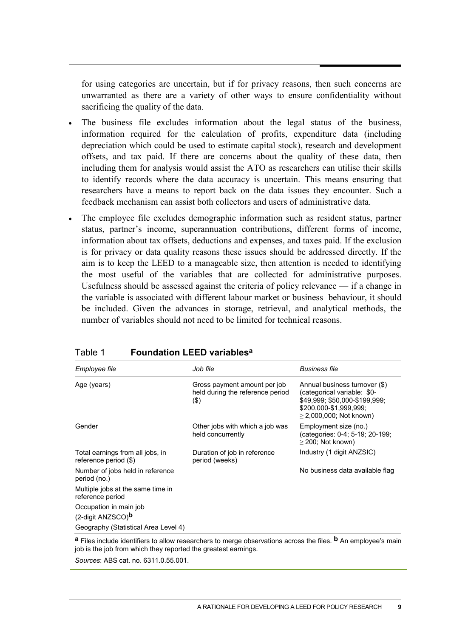for using categories are uncertain, but if for privacy reasons, then such concerns are unwarranted as there are a variety of other ways to ensure confidentiality without sacrificing the quality of the data.

- The business file excludes information about the legal status of the business, information required for the calculation of profits, expenditure data (including depreciation which could be used to estimate capital stock), research and development offsets, and tax paid. If there are concerns about the quality of these data, then including them for analysis would assist the ATO as researchers can utilise their skills to identify records where the data accuracy is uncertain. This means ensuring that researchers have a means to report back on the data issues they encounter. Such a feedback mechanism can assist both collectors and users of administrative data.
- The employee file excludes demographic information such as resident status, partner status, partner's income, superannuation contributions, different forms of income, information about tax offsets, deductions and expenses, and taxes paid. If the exclusion is for privacy or data quality reasons these issues should be addressed directly. If the aim is to keep the LEED to a manageable size, then attention is needed to identifying the most useful of the variables that are collected for administrative purposes. Usefulness should be assessed against the criteria of policy relevance — if a change in the variable is associated with different labour market or business behaviour, it should be included. Given the advances in storage, retrieval, and analytical methods, the number of variables should not need to be limited for technical reasons.

| rabie i<br><b>FOUNDATION LEED VANADIES</b>                |                                                                             |                                                                                                                                                         |
|-----------------------------------------------------------|-----------------------------------------------------------------------------|---------------------------------------------------------------------------------------------------------------------------------------------------------|
| Employee file                                             | Job file                                                                    | <b>Business file</b>                                                                                                                                    |
| Age (years)                                               | Gross payment amount per job<br>held during the reference period<br>$($ \$) | Annual business turnover (\$)<br>(categorical variable: \$0-<br>\$49,999; \$50,000-\$199,999;<br>\$200,000-\$1,999,999;<br>$\geq$ 2,000,000; Not known) |
| Gender                                                    | Other jobs with which a job was<br>held concurrently                        | Employment size (no.)<br>(categories: 0-4; 5-19; 20-199;<br>$\geq$ 200; Not known)                                                                      |
| Total earnings from all jobs, in<br>reference period (\$) | Duration of job in reference<br>period (weeks)                              | Industry (1 digit ANZSIC)                                                                                                                               |
| Number of jobs held in reference<br>period (no.)          |                                                                             | No business data available flag                                                                                                                         |
| Multiple jobs at the same time in<br>reference period     |                                                                             |                                                                                                                                                         |
| Occupation in main job<br>(2-digit ANZSCO) <sup>b</sup>   |                                                                             |                                                                                                                                                         |
| Geography (Statistical Area Level 4)                      |                                                                             |                                                                                                                                                         |

Table 1 **Foundation LEED variablesa**

**a** Files include identifiers to allow researchers to merge observations across the files. **b** An employee's main job is the job from which they reported the greatest earnings.

*Sources*: ABS cat. no. 6311.0.55.001.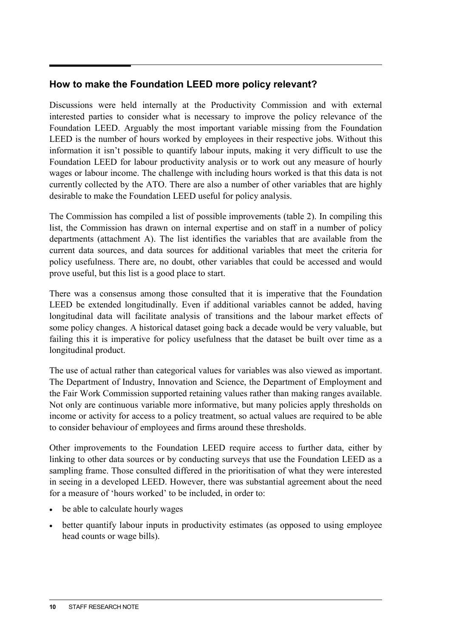## **How to make the Foundation LEED more policy relevant?**

Discussions were held internally at the Productivity Commission and with external interested parties to consider what is necessary to improve the policy relevance of the Foundation LEED. Arguably the most important variable missing from the Foundation LEED is the number of hours worked by employees in their respective jobs. Without this information it isn't possible to quantify labour inputs, making it very difficult to use the Foundation LEED for labour productivity analysis or to work out any measure of hourly wages or labour income. The challenge with including hours worked is that this data is not currently collected by the ATO. There are also a number of other variables that are highly desirable to make the Foundation LEED useful for policy analysis.

The Commission has compiled a list of possible improvements (table 2). In compiling this list, the Commission has drawn on internal expertise and on staff in a number of policy departments (attachment A). The list identifies the variables that are available from the current data sources, and data sources for additional variables that meet the criteria for policy usefulness. There are, no doubt, other variables that could be accessed and would prove useful, but this list is a good place to start.

There was a consensus among those consulted that it is imperative that the Foundation LEED be extended longitudinally. Even if additional variables cannot be added, having longitudinal data will facilitate analysis of transitions and the labour market effects of some policy changes. A historical dataset going back a decade would be very valuable, but failing this it is imperative for policy usefulness that the dataset be built over time as a longitudinal product.

The use of actual rather than categorical values for variables was also viewed as important. The Department of Industry, Innovation and Science, the Department of Employment and the Fair Work Commission supported retaining values rather than making ranges available. Not only are continuous variable more informative, but many policies apply thresholds on income or activity for access to a policy treatment, so actual values are required to be able to consider behaviour of employees and firms around these thresholds.

Other improvements to the Foundation LEED require access to further data, either by linking to other data sources or by conducting surveys that use the Foundation LEED as a sampling frame. Those consulted differed in the prioritisation of what they were interested in seeing in a developed LEED. However, there was substantial agreement about the need for a measure of 'hours worked' to be included, in order to:

- be able to calculate hourly wages
- better quantify labour inputs in productivity estimates (as opposed to using employee head counts or wage bills).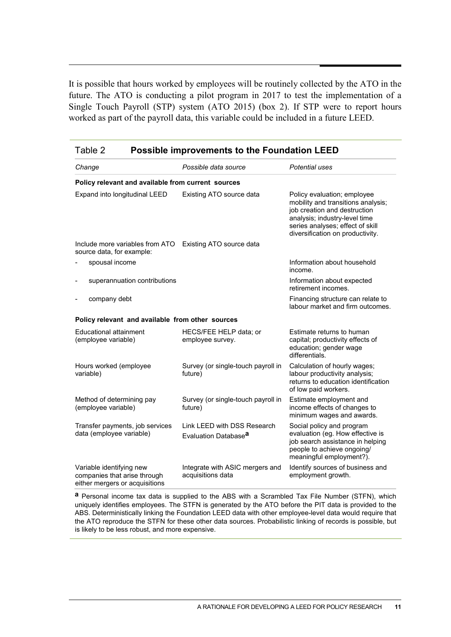It is possible that hours worked by employees will be routinely collected by the ATO in the future. The ATO is conducting a pilot program in 2017 to test the implementation of a Single Touch Payroll (STP) system (ATO 2015) (box 2). If STP were to report hours worked as part of the payroll data, this variable could be included in a future LEED.

| Table 2<br><b>Possible improvements to the Foundation LEED</b>                             |                                                                 |                                                                                                                                                                                                            |  |
|--------------------------------------------------------------------------------------------|-----------------------------------------------------------------|------------------------------------------------------------------------------------------------------------------------------------------------------------------------------------------------------------|--|
| Change                                                                                     | Possible data source                                            | Potential uses                                                                                                                                                                                             |  |
| Policy relevant and available from current sources                                         |                                                                 |                                                                                                                                                                                                            |  |
| Expand into longitudinal LEED                                                              | Existing ATO source data                                        | Policy evaluation; employee<br>mobility and transitions analysis;<br>job creation and destruction<br>analysis; industry-level time<br>series analyses; effect of skill<br>diversification on productivity. |  |
| Include more variables from ATO<br>source data, for example:                               | Existing ATO source data                                        |                                                                                                                                                                                                            |  |
| spousal income                                                                             |                                                                 | Information about household<br>income.                                                                                                                                                                     |  |
| superannuation contributions<br>÷                                                          |                                                                 | Information about expected<br>retirement incomes.                                                                                                                                                          |  |
| company debt                                                                               |                                                                 | Financing structure can relate to<br>labour market and firm outcomes.                                                                                                                                      |  |
| Policy relevant and available from other sources                                           |                                                                 |                                                                                                                                                                                                            |  |
| Educational attainment<br>(employee variable)                                              | HECS/FEE HELP data; or<br>employee survey.                      | Estimate returns to human<br>capital; productivity effects of<br>education; gender wage<br>differentials.                                                                                                  |  |
| Hours worked (employee<br>variable)                                                        | Survey (or single-touch payroll in<br>future)                   | Calculation of hourly wages;<br>labour productivity analysis;<br>returns to education identification<br>of low paid workers.                                                                               |  |
| Method of determining pay<br>(employee variable)                                           | Survey (or single-touch payroll in<br>future)                   | Estimate employment and<br>income effects of changes to<br>minimum wages and awards.                                                                                                                       |  |
| Transfer payments, job services<br>data (employee variable)                                | Link LEED with DSS Research<br>Evaluation Database <sup>a</sup> | Social policy and program<br>evaluation (eg. How effective is<br>job search assistance in helping<br>people to achieve ongoing/<br>meaningful employment?).                                                |  |
| Variable identifying new<br>companies that arise through<br>either mergers or acquisitions | Integrate with ASIC mergers and<br>acquisitions data            | Identify sources of business and<br>employment growth.                                                                                                                                                     |  |

**a** Personal income tax data is supplied to the ABS with a Scrambled Tax File Number (STFN), which uniquely identifies employees. The STFN is generated by the ATO before the PIT data is provided to the ABS. Deterministically linking the Foundation LEED data with other employee-level data would require that the ATO reproduce the STFN for these other data sources. Probabilistic linking of records is possible, but is likely to be less robust, and more expensive.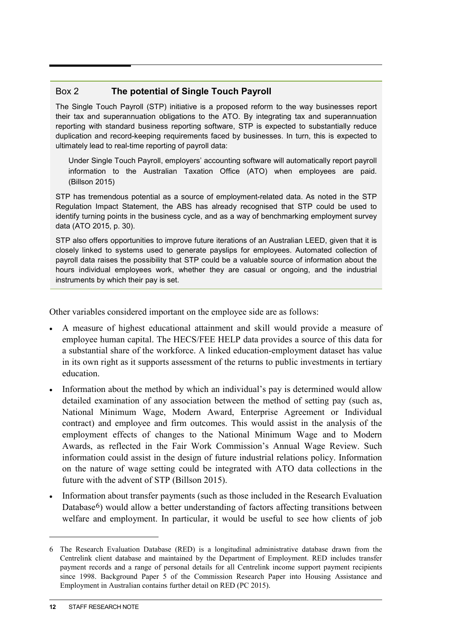## Box 2 **The potential of Single Touch Payroll**

The Single Touch Payroll (STP) initiative is a proposed reform to the way businesses report their tax and superannuation obligations to the ATO. By integrating tax and superannuation reporting with standard business reporting software, STP is expected to substantially reduce duplication and record-keeping requirements faced by businesses. In turn, this is expected to ultimately lead to real-time reporting of payroll data:

Under Single Touch Payroll, employers' accounting software will automatically report payroll information to the Australian Taxation Office (ATO) when employees are paid. (Billson 2015)

STP has tremendous potential as a source of employment-related data. As noted in the STP Regulation Impact Statement, the ABS has already recognised that STP could be used to identify turning points in the business cycle, and as a way of benchmarking employment survey data (ATO 2015, p. 30).

STP also offers opportunities to improve future iterations of an Australian LEED, given that it is closely linked to systems used to generate payslips for employees. Automated collection of payroll data raises the possibility that STP could be a valuable source of information about the hours individual employees work, whether they are casual or ongoing, and the industrial instruments by which their pay is set.

Other variables considered important on the employee side are as follows:

- A measure of highest educational attainment and skill would provide a measure of employee human capital. The HECS/FEE HELP data provides a source of this data for a substantial share of the workforce. A linked education-employment dataset has value in its own right as it supports assessment of the returns to public investments in tertiary education.
- Information about the method by which an individual's pay is determined would allow detailed examination of any association between the method of setting pay (such as, National Minimum Wage, Modern Award, Enterprise Agreement or Individual contract) and employee and firm outcomes. This would assist in the analysis of the employment effects of changes to the National Minimum Wage and to Modern Awards, as reflected in the Fair Work Commission's Annual Wage Review. Such information could assist in the design of future industrial relations policy. Information on the nature of wage setting could be integrated with ATO data collections in the future with the advent of STP (Billson 2015).
- Information about transfer payments (such as those included in the Research Evaluation Database<sup>6</sup>) would allow a better understanding of factors affecting transitions between welfare and employment. In particular, it would be useful to see how clients of job

 $\overline{a}$ 

<span id="page-13-0"></span><sup>6</sup> The Research Evaluation Database (RED) is a longitudinal administrative database drawn from the Centrelink client database and maintained by the Department of Employment. RED includes transfer payment records and a range of personal details for all Centrelink income support payment recipients since 1998. Background Paper 5 of the Commission Research Paper into Housing Assistance and Employment in Australian contains further detail on RED (PC 2015).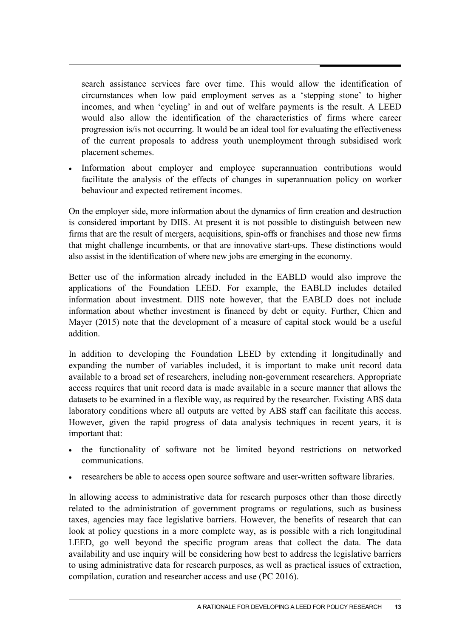search assistance services fare over time. This would allow the identification of circumstances when low paid employment serves as a 'stepping stone' to higher incomes, and when 'cycling' in and out of welfare payments is the result. A LEED would also allow the identification of the characteristics of firms where career progression is/is not occurring. It would be an ideal tool for evaluating the effectiveness of the current proposals to address youth unemployment through subsidised work placement schemes.

• Information about employer and employee superannuation contributions would facilitate the analysis of the effects of changes in superannuation policy on worker behaviour and expected retirement incomes.

On the employer side, more information about the dynamics of firm creation and destruction is considered important by DIIS. At present it is not possible to distinguish between new firms that are the result of mergers, acquisitions, spin-offs or franchises and those new firms that might challenge incumbents, or that are innovative start-ups. These distinctions would also assist in the identification of where new jobs are emerging in the economy.

Better use of the information already included in the EABLD would also improve the applications of the Foundation LEED. For example, the EABLD includes detailed information about investment. DIIS note however, that the EABLD does not include information about whether investment is financed by debt or equity. Further, Chien and Mayer (2015) note that the development of a measure of capital stock would be a useful addition.

In addition to developing the Foundation LEED by extending it longitudinally and expanding the number of variables included, it is important to make unit record data available to a broad set of researchers, including non-government researchers. Appropriate access requires that unit record data is made available in a secure manner that allows the datasets to be examined in a flexible way, as required by the researcher. Existing ABS data laboratory conditions where all outputs are vetted by ABS staff can facilitate this access. However, given the rapid progress of data analysis techniques in recent years, it is important that:

- the functionality of software not be limited beyond restrictions on networked communications.
- researchers be able to access open source software and user-written software libraries.

In allowing access to administrative data for research purposes other than those directly related to the administration of government programs or regulations, such as business taxes, agencies may face legislative barriers. However, the benefits of research that can look at policy questions in a more complete way, as is possible with a rich longitudinal LEED, go well beyond the specific program areas that collect the data. The data availability and use inquiry will be considering how best to address the legislative barriers to using administrative data for research purposes, as well as practical issues of extraction, compilation, curation and researcher access and use (PC 2016).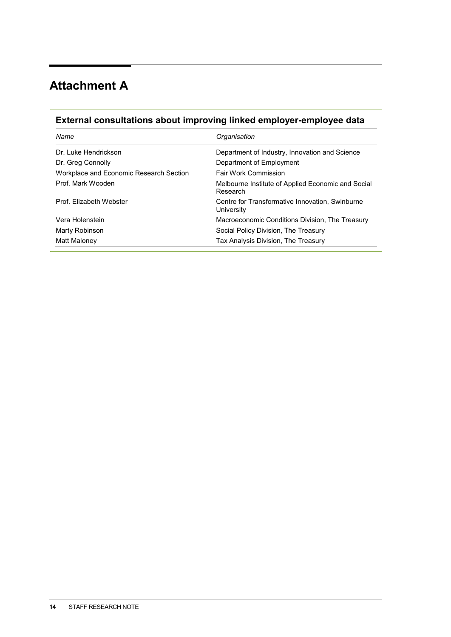# **Attachment A**

# **External consultations about improving linked employer-employee data**

| Name                                    | Organisation                                                   |
|-----------------------------------------|----------------------------------------------------------------|
| Dr. Luke Hendrickson                    | Department of Industry, Innovation and Science                 |
| Dr. Greg Connolly                       | Department of Employment                                       |
| Workplace and Economic Research Section | <b>Fair Work Commission</b>                                    |
| Prof. Mark Wooden                       | Melbourne Institute of Applied Economic and Social<br>Research |
| Prof. Elizabeth Webster                 | Centre for Transformative Innovation, Swinburne<br>University  |
| Vera Holenstein                         | Macroeconomic Conditions Division, The Treasury                |
| Marty Robinson                          | Social Policy Division, The Treasury                           |
| Matt Maloney                            | Tax Analysis Division, The Treasury                            |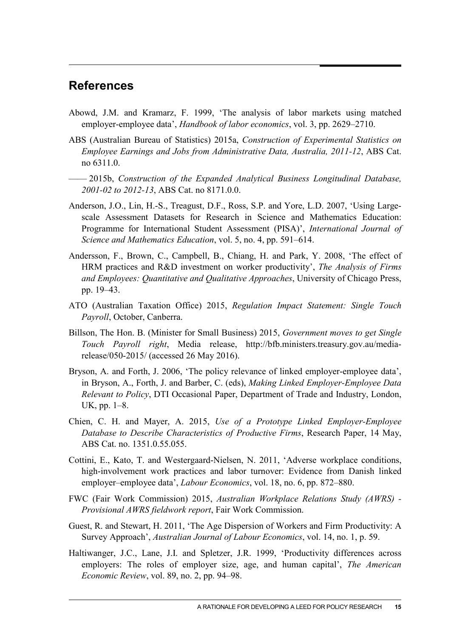# **References**

- Abowd, J.M. and Kramarz, F. 1999, 'The analysis of labor markets using matched employer-employee data', *Handbook of labor economics*, vol. 3, pp. 2629–2710.
- ABS (Australian Bureau of Statistics) 2015a, *Construction of Experimental Statistics on Employee Earnings and Jobs from Administrative Data, Australia, 2011-12*, ABS Cat. no 6311.0.
- —— 2015b, *Construction of the Expanded Analytical Business Longitudinal Database, 2001-02 to 2012-13*, ABS Cat. no 8171.0.0.
- Anderson, J.O., Lin, H.-S., Treagust, D.F., Ross, S.P. and Yore, L.D. 2007, 'Using Largescale Assessment Datasets for Research in Science and Mathematics Education: Programme for International Student Assessment (PISA)', *International Journal of Science and Mathematics Education*, vol. 5, no. 4, pp. 591–614.
- Andersson, F., Brown, C., Campbell, B., Chiang, H. and Park, Y. 2008, 'The effect of HRM practices and R&D investment on worker productivity', *The Analysis of Firms and Employees: Quantitative and Qualitative Approaches*, University of Chicago Press, pp. 19–43.
- ATO (Australian Taxation Office) 2015, *Regulation Impact Statement: Single Touch Payroll*, October, Canberra.
- Billson, The Hon. B. (Minister for Small Business) 2015, *Government moves to get Single Touch Payroll right*, Media release, http://bfb.ministers.treasury.gov.au/mediarelease/050-2015/ (accessed 26 May 2016).
- Bryson, A. and Forth, J. 2006, 'The policy relevance of linked employer-employee data', in Bryson, A., Forth, J. and Barber, C. (eds), *Making Linked Employer-Employee Data Relevant to Policy*, DTI Occasional Paper, Department of Trade and Industry, London, UK, pp. 1–8.
- Chien, C. H. and Mayer, A. 2015, *Use of a Prototype Linked Employer-Employee Database to Describe Characteristics of Productive Firms*, Research Paper, 14 May, ABS Cat. no. 1351.0.55.055.
- Cottini, E., Kato, T. and Westergaard-Nielsen, N. 2011, 'Adverse workplace conditions, high-involvement work practices and labor turnover: Evidence from Danish linked employer–employee data', *Labour Economics*, vol. 18, no. 6, pp. 872–880.
- FWC (Fair Work Commission) 2015, *Australian Workplace Relations Study (AWRS) - Provisional AWRS fieldwork report*, Fair Work Commission.
- Guest, R. and Stewart, H. 2011, 'The Age Dispersion of Workers and Firm Productivity: A Survey Approach', *Australian Journal of Labour Economics*, vol. 14, no. 1, p. 59.
- Haltiwanger, J.C., Lane, J.I. and Spletzer, J.R. 1999, 'Productivity differences across employers: The roles of employer size, age, and human capital', *The American Economic Review*, vol. 89, no. 2, pp. 94–98.